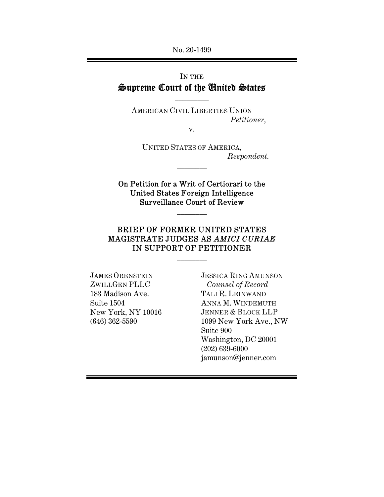## IN THE Supreme Court of the United States

 $\overline{\phantom{a}}$  . The set of  $\overline{\phantom{a}}$ 

AMERICAN CIVIL LIBERTIES UNION *Petitioner,* 

v.

UNITED STATES OF AMERICA, *Respondent.* 

On Petition for a Writ of Certiorari to the United States Foreign Intelligence Surveillance Court of Review

 $\frac{1}{2}$ 

 $\frac{1}{2}$ 

## BRIEF OF FORMER UNITED STATES MAGISTRATE JUDGES AS *AMICI CURIAE* IN SUPPORT OF PETITIONER

 $\frac{1}{2}$ 

JAMES ORENSTEIN ZWILLGEN PLLC 183 Madison Ave. Suite 1504 New York, NY 10016 (646) 362-5590

JESSICA RING AMUNSON  *Counsel of Record* TALI R. LEINWAND ANNA M. WINDEMUTH JENNER & BLOCK LLP 1099 New York Ave., NW Suite 900 Washington, DC 20001 (202) 639-6000 jamunson@jenner.com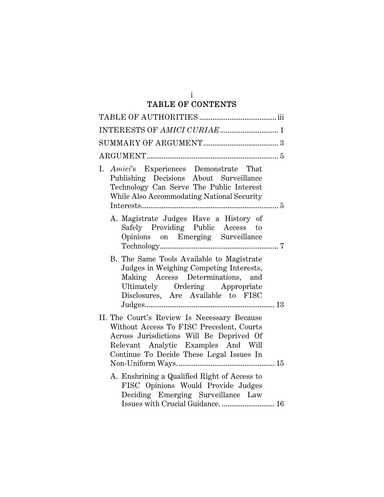#### i TABLE OF CONTENTS

| I. Amici's Experiences Demonstrate That<br>Publishing Decisions About Surveillance<br>Technology Can Serve The Public Interest<br>While Also Accommodating National Security                                           |
|------------------------------------------------------------------------------------------------------------------------------------------------------------------------------------------------------------------------|
| A. Magistrate Judges Have a History of<br>Safely Providing Public Access to<br>Opinions on Emerging Surveillance                                                                                                       |
| B. The Same Tools Available to Magistrate<br>Judges in Weighing Competing Interests,<br>Making Access Determinations, and<br>Ultimately Ordering Appropriate<br>Disclosures, Are Available to FISC                     |
| II. The Court's Review Is Necessary Because<br>Without Access To FISC Precedent, Courts<br>Across Jurisdictions Will Be Deprived Of<br>Relevant Analytic Examples And Will<br>Continue To Decide These Legal Issues In |
| A. Enshrining a Qualified Right of Access to<br>FISC Opinions Would Provide Judges<br>Deciding Emerging Surveillance Law                                                                                               |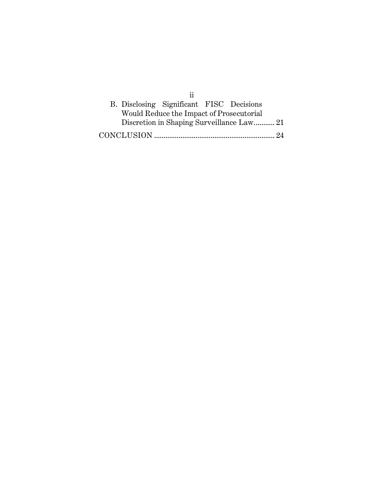| B. Disclosing Significant FISC Decisions |  |  |
|------------------------------------------|--|--|
| Would Reduce the Impact of Prosecutorial |  |  |
|                                          |  |  |
|                                          |  |  |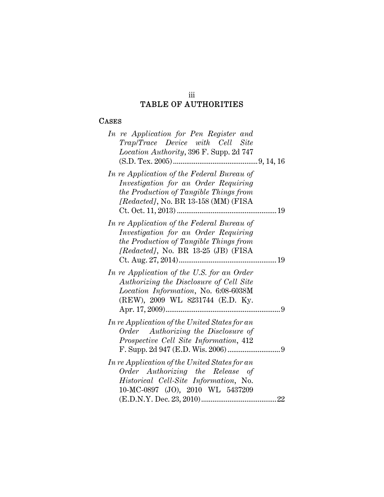#### iii TABLE OF AUTHORITIES

## CASES

| In re Application for Pen Register and<br>Trap/Trace Device with Cell Site<br>Location Authority, 396 F. Supp. 2d 747                                                |  |
|----------------------------------------------------------------------------------------------------------------------------------------------------------------------|--|
|                                                                                                                                                                      |  |
| In re Application of the Federal Bureau of<br>Investigation for an Order Requiring<br>the Production of Tangible Things from<br>[Redacted], No. BR 13-158 (MM) (FISA |  |
| In re Application of the Federal Bureau of<br>Investigation for an Order Requiring<br>the Production of Tangible Things from<br>[Redacted], No. BR 13-25 (JB) (FISA  |  |
| In re Application of the U.S. for an Order<br>Authorizing the Disclosure of Cell Site<br>Location Information, No. 6:08-6038M<br>(REW), 2009 WL 8231744 (E.D. Ky.    |  |
| In re Application of the United States for an<br>Order Authorizing the Disclosure of<br>Prospective Cell Site Information, 412                                       |  |
| In re Application of the United States for an<br>Order Authorizing the Release of<br>Historical Cell-Site Information, No.<br>10-MC-0897 (JO), 2010 WL 5437209       |  |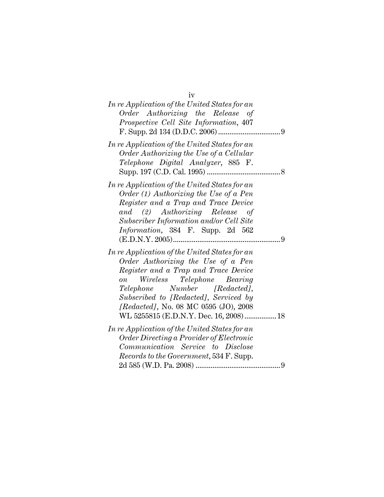| iv                                                                            |  |
|-------------------------------------------------------------------------------|--|
| In re Application of the United States for an                                 |  |
| Order Authorizing the Release of                                              |  |
| Prospective Cell Site Information, 407                                        |  |
|                                                                               |  |
| In re Application of the United States for an                                 |  |
| Order Authorizing the Use of a Cellular                                       |  |
| Telephone Digital Analyzer, 885 F.                                            |  |
|                                                                               |  |
| In re Application of the United States for an                                 |  |
| Order $(1)$ Authorizing the Use of a Pen                                      |  |
| Register and a Trap and Trace Device                                          |  |
| and (2) Authorizing Release of                                                |  |
| Subscriber Information and/or Cell Site                                       |  |
| Information, 384 F. Supp. 2d 562                                              |  |
|                                                                               |  |
| In re Application of the United States for an                                 |  |
| Order Authorizing the Use of a Pen                                            |  |
| Register and a Trap and Trace Device                                          |  |
| Wireless Telephone Bearing<br>$\overline{on}$                                 |  |
| Telephone Number [Redacted],                                                  |  |
| Subscribed to [Redacted], Serviced by                                         |  |
| [Redacted], No. 08 MC 0595 (JO), 2008                                         |  |
| WL 5255815 (E.D.N.Y. Dec. 16, 2008) 18                                        |  |
|                                                                               |  |
| In re Application of the United States for an                                 |  |
| Order Directing a Provider of Electronic<br>Communication Service to Disclose |  |
|                                                                               |  |
| Records to the Government, 534 F. Supp.                                       |  |
|                                                                               |  |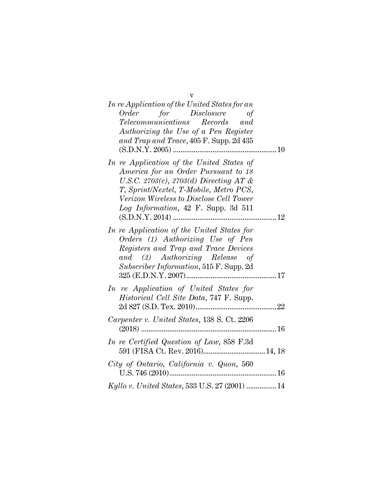| $\overline{\mathbf{V}}$                                                                                                                                                                                                                                           |
|-------------------------------------------------------------------------------------------------------------------------------------------------------------------------------------------------------------------------------------------------------------------|
| In re Application of the United States for an                                                                                                                                                                                                                     |
| Order for Disclosure of<br>Telecommunications Records and<br>Authorizing the Use of a Pen Register<br>and Trap and Trace, 405 F. Supp. 2d 435                                                                                                                     |
| In re Application of the United States of<br>America for an Order Pursuant to 18<br>U.S.C. 2703 $(c)$ , 2703 $(d)$ Directing AT &<br>T, Sprint/Nextel, T-Mobile, Metro PCS,<br>Verizon Wireless to Disclose Cell Tower<br>Log Information, $42$ F. Supp. 3d $511$ |
| In re Application of the United States for<br>Orders (1) Authorizing Use of Pen<br>Registers and Trap and Trace Devices<br>and (2) Authorizing Release of<br>Subscriber Information, 515 F. Supp. 2d                                                              |
| In re Application of United States for<br>Historical Cell Site Data, 747 F. Supp.                                                                                                                                                                                 |
| Carpenter v. United States, 138 S. Ct. 2206                                                                                                                                                                                                                       |
| In re Certified Question of Law, 858 F.3d<br>591 (FISA Ct. Rev. 2016) 14, 18                                                                                                                                                                                      |
| City of Ontario, California v. Quon, 560                                                                                                                                                                                                                          |
| Kyllo v. United States, 533 U.S. 27 (2001)  14                                                                                                                                                                                                                    |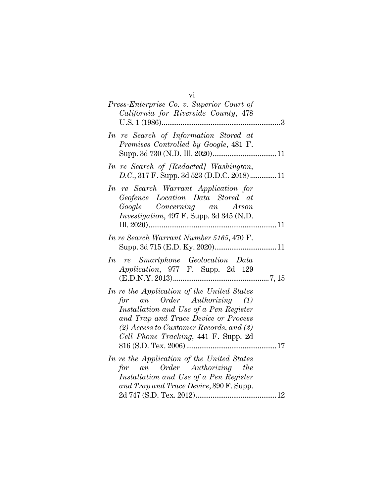| vi                                                                     |  |
|------------------------------------------------------------------------|--|
| Press-Enterprise Co. v. Superior Court of                              |  |
| California for Riverside County, 478                                   |  |
|                                                                        |  |
| In re Search of Information Stored at                                  |  |
| Premises Controlled by Google, 481 F.                                  |  |
|                                                                        |  |
| In re Search of [Redacted] Washington,                                 |  |
| D.C., 317 F. Supp. 3d 523 (D.D.C. 2018) 11                             |  |
| In re Search Warrant Application for                                   |  |
| Geofence Location Data Stored at                                       |  |
| Google Concerning an Arson                                             |  |
| Investigation, 497 F. Supp. 3d 345 (N.D.                               |  |
| 11                                                                     |  |
| In re Search Warrant Number 5165, 470 F.                               |  |
|                                                                        |  |
| In re Smartphone Geolocation Data                                      |  |
| Application, 977 F. Supp. 2d 129                                       |  |
|                                                                        |  |
| In re the Application of the United States                             |  |
| for an Order Authorizing (1)                                           |  |
| Installation and Use of a Pen Register                                 |  |
| and Trap and Trace Device or Process                                   |  |
| $(2)$ Access to Customer Records, and $(3)$                            |  |
| Cell Phone Tracking, 441 F. Supp. 2d                                   |  |
|                                                                        |  |
| In re the Application of the United States                             |  |
| for an Order Authorizing the<br>Installation and Use of a Pen Register |  |
| and Trap and Trace Device, 890 F. Supp.                                |  |
|                                                                        |  |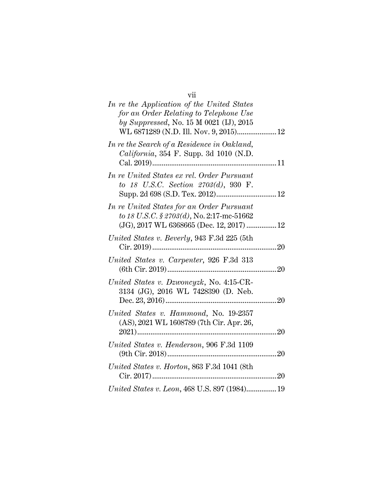| vii                                           |
|-----------------------------------------------|
| In re the Application of the United States    |
| for an Order Relating to Telephone Use        |
| by Suppressed, No. 15 M 0021 (IJ), 2015       |
| WL 6871289 (N.D. Ill. Nov. 9, 2015) 12        |
| In re the Search of a Residence in Oakland,   |
| California, 354 F. Supp. 3d 1010 (N.D.        |
|                                               |
| In re United States ex rel. Order Pursuant    |
| to 18 U.S.C. Section 2703(d), 930 F.          |
|                                               |
| In re United States for an Order Pursuant     |
| to 18 U.S.C. § 2703(d), No. 2:17-mc-51662     |
| (JG), 2017 WL 6368665 (Dec. 12, 2017)  12     |
|                                               |
| United States v. Beverly, 943 F.3d 225 (5th   |
| Cir. 2019)<br>20                              |
| United States v. Carpenter, 926 F.3d 313      |
|                                               |
| United States v. Dzwoncyzk, No. 4:15-CR-      |
| 3134 (JG), 2016 WL 7428390 (D. Neb.           |
|                                               |
| United States v. Hammond, No. 19-2357         |
| (AS), 2021 WL 1608789 (7th Cir. Apr. 26,      |
|                                               |
| United States v. Henderson, 906 F.3d 1109     |
|                                               |
|                                               |
| United States v. Horton, 863 F.3d 1041 (8th   |
|                                               |
| United States v. Leon, 468 U.S. 897 (1984) 19 |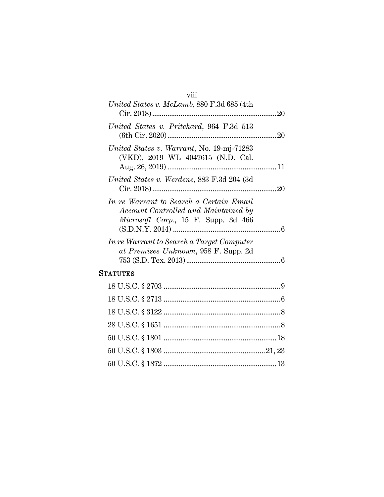# viii

| United States v. McLamb, 880 F.3d 685 (4th                                                                                     |  |
|--------------------------------------------------------------------------------------------------------------------------------|--|
| United States v. Pritchard, 964 F.3d 513                                                                                       |  |
| United States v. Warrant, No. 19-mj-71283<br>(VKD), 2019 WL 4047615 (N.D. Cal.                                                 |  |
| United States v. Werdene, 883 F.3d 204 (3d)                                                                                    |  |
| In re Warrant to Search a Certain Email<br>Account Controlled and Maintained by<br><i>Microsoft Corp.</i> , 15 F. Supp. 3d 466 |  |
| In re Warrant to Search a Target Computer<br>at Premises Unknown, 958 F. Supp. 2d                                              |  |
| <b>STATUTES</b>                                                                                                                |  |
|                                                                                                                                |  |
|                                                                                                                                |  |
|                                                                                                                                |  |
|                                                                                                                                |  |
|                                                                                                                                |  |
|                                                                                                                                |  |

50 U.S.C. § 1872 ............................................................ 13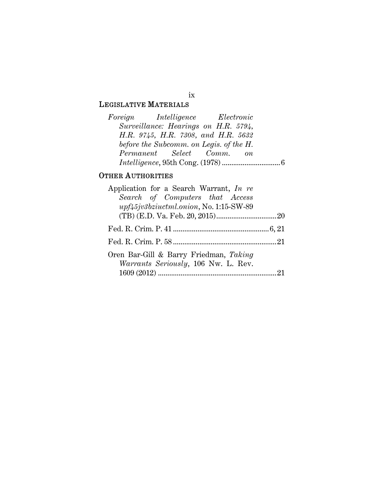LEGISLATIVE MATERIALS

| Foreign Intelligence Electronic         |  |  |
|-----------------------------------------|--|--|
| Surveillance: Hearings on H.R. 5794,    |  |  |
| H.R. 9745, H.R. 7308, and H.R. 5632     |  |  |
| before the Subcomm. on Legis. of the H. |  |  |
| Permanent Select Comm. on               |  |  |
|                                         |  |  |

## OTHER AUTHORITIES

| Application for a Search Warrant, In re                                               |  |
|---------------------------------------------------------------------------------------|--|
| Search of Computers that Access                                                       |  |
| upf45jv3bziuctml.onion, No. 1:15-SW-89                                                |  |
|                                                                                       |  |
|                                                                                       |  |
|                                                                                       |  |
| Oren Bar-Gill & Barry Friedman, Taking<br><i>Warrants Seriously</i> , 106 Nw. L. Rev. |  |
|                                                                                       |  |

ix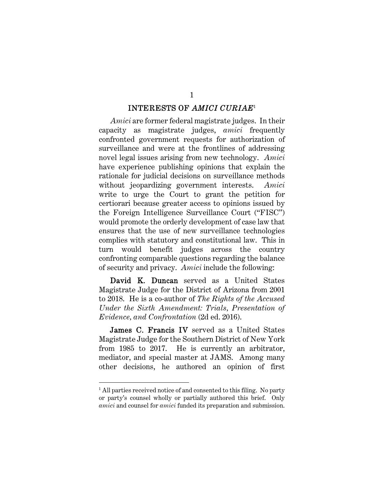#### INTERESTS OF *AMICI CURIAE*<sup>1</sup>

1

*Amici* are former federal magistrate judges. In their capacity as magistrate judges, *amici* frequently confronted government requests for authorization of surveillance and were at the frontlines of addressing novel legal issues arising from new technology. *Amici* have experience publishing opinions that explain the rationale for judicial decisions on surveillance methods without jeopardizing government interests. *Amici* write to urge the Court to grant the petition for certiorari because greater access to opinions issued by the Foreign Intelligence Surveillance Court ("FISC") would promote the orderly development of case law that ensures that the use of new surveillance technologies complies with statutory and constitutional law. This in turn would benefit judges across the country confronting comparable questions regarding the balance of security and privacy. *Amici* include the following:

David K. Duncan served as a United States Magistrate Judge for the District of Arizona from 2001 to 2018. He is a co-author of *The Rights of the Accused Under the Sixth Amendment: Trials, Presentation of Evidence, and Confrontation* (2d ed. 2016).

James C. Francis IV served as a United States Magistrate Judge for the Southern District of New York from 1985 to 2017. He is currently an arbitrator, mediator, and special master at JAMS. Among many other decisions, he authored an opinion of first

l

<sup>&</sup>lt;sup>1</sup> All parties received notice of and consented to this filing. No party or party's counsel wholly or partially authored this brief. Only *amici* and counsel for *amici* funded its preparation and submission.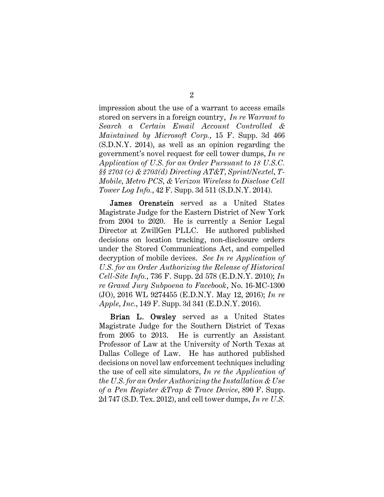impression about the use of a warrant to access emails stored on servers in a foreign country, *In re Warrant to Search a Certain Email Account Controlled & Maintained by Microsoft Corp.*, 15 F. Supp. 3d 466 (S.D.N.Y. 2014), as well as an opinion regarding the government's novel request for cell tower dumps, *In re Application of U.S. for an Order Pursuant to 18 U.S.C. §§ 2703 (c) & 2703(d) Directing AT&T, Sprint/Nextel, T-Mobile, Metro PCS, & Verizon Wireless to Disclose Cell Tower Log Info.*, 42 F. Supp. 3d 511 (S.D.N.Y. 2014).

James Orenstein served as a United States Magistrate Judge for the Eastern District of New York from 2004 to 2020. He is currently a Senior Legal Director at ZwillGen PLLC. He authored published decisions on location tracking, non-disclosure orders under the Stored Communications Act, and compelled decryption of mobile devices. *See In re Application of U.S. for an Order Authorizing the Release of Historical Cell-Site Info.*, 736 F. Supp. 2d 578 (E.D.N.Y. 2010); *In re Grand Jury Subpoena to Facebook*, No. 16-MC-1300 (JO), 2016 WL 9274455 (E.D.N.Y. May 12, 2016); *In re Apple, Inc.*, 149 F. Supp. 3d 341 (E.D.N.Y. 2016).

Brian L. Owsley served as a United States Magistrate Judge for the Southern District of Texas from 2005 to 2013. He is currently an Assistant Professor of Law at the University of North Texas at Dallas College of Law. He has authored published decisions on novel law enforcement techniques including the use of cell site simulators, *In re the Application of the U.S. for an Order Authorizing the Installation & Use of a Pen Register &Trap & Trace Device*, 890 F. Supp. 2d 747 (S.D. Tex. 2012), and cell tower dumps, *In re U.S.*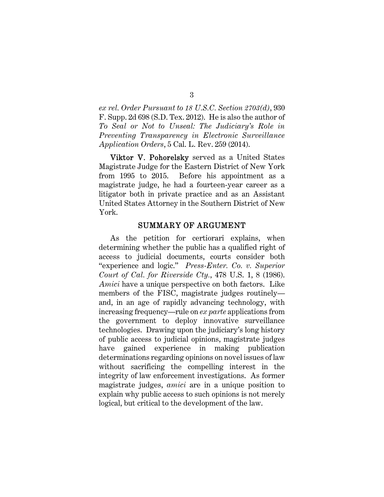*ex rel. Order Pursuant to 18 U.S.C. Section 2703(d)*, 930 F. Supp. 2d 698 (S.D. Tex. 2012). He is also the author of *To Seal or Not to Unseal: The Judiciary's Role in Preventing Transparency in Electronic Surveillance Application Orders*, 5 Cal. L. Rev. 259 (2014).

Viktor V. Pohorelsky served as a United States Magistrate Judge for the Eastern District of New York from 1995 to 2015. Before his appointment as a magistrate judge, he had a fourteen-year career as a litigator both in private practice and as an Assistant United States Attorney in the Southern District of New York.

#### SUMMARY OF ARGUMENT

As the petition for certiorari explains, when determining whether the public has a qualified right of access to judicial documents, courts consider both "experience and logic." *Press-Enter. Co. v. Superior Court of Cal. for Riverside Cty.*, 478 U.S. 1, 8 (1986). *Amici* have a unique perspective on both factors. Like members of the FISC, magistrate judges routinely and, in an age of rapidly advancing technology, with increasing frequency—rule on *ex parte* applications from the government to deploy innovative surveillance technologies. Drawing upon the judiciary's long history of public access to judicial opinions, magistrate judges have gained experience in making publication determinations regarding opinions on novel issues of law without sacrificing the compelling interest in the integrity of law enforcement investigations. As former magistrate judges, *amici* are in a unique position to explain why public access to such opinions is not merely logical, but critical to the development of the law.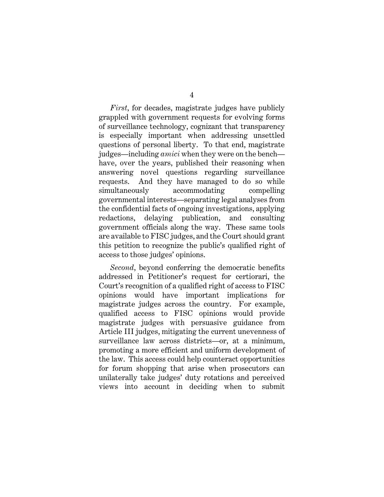4

*First*, for decades, magistrate judges have publicly grappled with government requests for evolving forms of surveillance technology, cognizant that transparency is especially important when addressing unsettled questions of personal liberty. To that end, magistrate judges—including *amici* when they were on the bench have, over the years, published their reasoning when answering novel questions regarding surveillance requests. And they have managed to do so while simultaneously accommodating compelling governmental interests—separating legal analyses from the confidential facts of ongoing investigations, applying redactions, delaying publication, and consulting government officials along the way. These same tools are available to FISC judges, and the Court should grant this petition to recognize the public's qualified right of access to those judges' opinions.

*Second*, beyond conferring the democratic benefits addressed in Petitioner's request for certiorari, the Court's recognition of a qualified right of access to FISC opinions would have important implications for magistrate judges across the country. For example, qualified access to FISC opinions would provide magistrate judges with persuasive guidance from Article III judges, mitigating the current unevenness of surveillance law across districts—or, at a minimum, promoting a more efficient and uniform development of the law. This access could help counteract opportunities for forum shopping that arise when prosecutors can unilaterally take judges' duty rotations and perceived views into account in deciding when to submit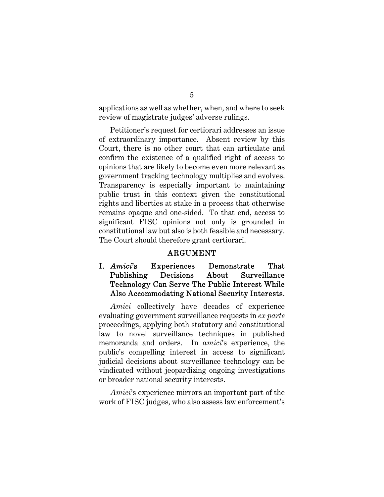applications as well as whether, when, and where to seek review of magistrate judges' adverse rulings.

Petitioner's request for certiorari addresses an issue of extraordinary importance. Absent review by this Court, there is no other court that can articulate and confirm the existence of a qualified right of access to opinions that are likely to become even more relevant as government tracking technology multiplies and evolves. Transparency is especially important to maintaining public trust in this context given the constitutional rights and liberties at stake in a process that otherwise remains opaque and one-sided. To that end, access to significant FISC opinions not only is grounded in constitutional law but also is both feasible and necessary. The Court should therefore grant certiorari.

#### ARGUMENT

## I. *Amici*'s Experiences Demonstrate That Publishing Decisions About Surveillance Technology Can Serve The Public Interest While Also Accommodating National Security Interests.

*Amici* collectively have decades of experience evaluating government surveillance requests in *ex parte*  proceedings, applying both statutory and constitutional law to novel surveillance techniques in published memoranda and orders. In *amici*'s experience, the public's compelling interest in access to significant judicial decisions about surveillance technology can be vindicated without jeopardizing ongoing investigations or broader national security interests.

*Amici*'s experience mirrors an important part of the work of FISC judges, who also assess law enforcement's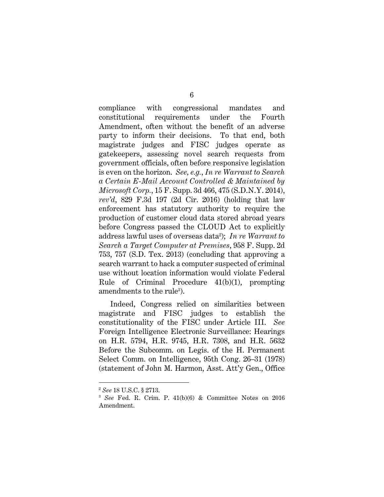compliance with congressional mandates and constitutional requirements under the Fourth Amendment, often without the benefit of an adverse party to inform their decisions. To that end, both magistrate judges and FISC judges operate as gatekeepers, assessing novel search requests from government officials, often before responsive legislation is even on the horizon. *See, e.g.*, *In re Warrant to Search a Certain E-Mail Account Controlled & Maintained by Microsoft Corp.*, 15 F. Supp. 3d 466, 475 (S.D.N.Y. 2014), *rev'd*, 829 F.3d 197 (2d Cir. 2016) (holding that law enforcement has statutory authority to require the production of customer cloud data stored abroad years before Congress passed the CLOUD Act to explicitly address lawful uses of overseas data<sup>2</sup> ); *In re Warrant to Search a Target Computer at Premises*, 958 F. Supp. 2d 753, 757 (S.D. Tex. 2013) (concluding that approving a search warrant to hack a computer suspected of criminal use without location information would violate Federal Rule of Criminal Procedure 41(b)(1), prompting amendments to the rule<sup>3</sup>).

Indeed, Congress relied on similarities between magistrate and FISC judges to establish the constitutionality of the FISC under Article III. *See*  Foreign Intelligence Electronic Surveillance: Hearings on H.R. 5794, H.R. 9745, H.R. 7308, and H.R. 5632 Before the Subcomm. on Legis. of the H. Permanent Select Comm. on Intelligence, 95th Cong. 26–31 (1978) (statement of John M. Harmon, Asst. Att'y Gen., Office

l

<sup>2</sup> *See* 18 U.S.C. § 2713.

<sup>3</sup> *See* Fed. R. Crim. P. 41(b)(6) & Committee Notes on 2016 Amendment.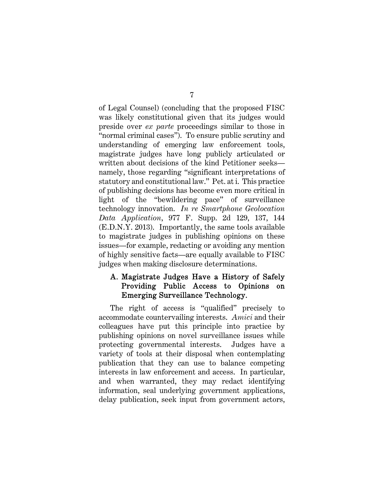of Legal Counsel) (concluding that the proposed FISC was likely constitutional given that its judges would preside over *ex parte* proceedings similar to those in "normal criminal cases"). To ensure public scrutiny and understanding of emerging law enforcement tools, magistrate judges have long publicly articulated or written about decisions of the kind Petitioner seeks namely, those regarding "significant interpretations of statutory and constitutional law." Pet. at i. This practice of publishing decisions has become even more critical in light of the "bewildering pace" of surveillance technology innovation. *In re Smartphone Geolocation Data Application*, 977 F. Supp. 2d 129, 137, 144 (E.D.N.Y. 2013). Importantly, the same tools available to magistrate judges in publishing opinions on these issues—for example, redacting or avoiding any mention of highly sensitive facts—are equally available to FISC judges when making disclosure determinations.

### A. Magistrate Judges Have a History of Safely Providing Public Access to Opinions on Emerging Surveillance Technology.

The right of access is "qualified" precisely to accommodate countervailing interests. *Amici* and their colleagues have put this principle into practice by publishing opinions on novel surveillance issues while protecting governmental interests. Judges have a variety of tools at their disposal when contemplating publication that they can use to balance competing interests in law enforcement and access. In particular, and when warranted, they may redact identifying information, seal underlying government applications, delay publication, seek input from government actors,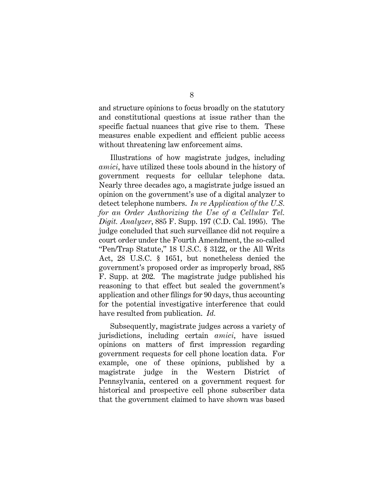and structure opinions to focus broadly on the statutory and constitutional questions at issue rather than the specific factual nuances that give rise to them. These measures enable expedient and efficient public access without threatening law enforcement aims.

Illustrations of how magistrate judges, including *amici*, have utilized these tools abound in the history of government requests for cellular telephone data. Nearly three decades ago, a magistrate judge issued an opinion on the government's use of a digital analyzer to detect telephone numbers. *In re Application of the U.S. for an Order Authorizing the Use of a Cellular Tel. Digit. Analyzer*, 885 F. Supp. 197 (C.D. Cal. 1995). The judge concluded that such surveillance did not require a court order under the Fourth Amendment, the so-called "Pen/Trap Statute," 18 U.S.C. § 3122, or the All Writs Act, 28 U.S.C. § 1651, but nonetheless denied the government's proposed order as improperly broad, 885 F. Supp. at 202. The magistrate judge published his reasoning to that effect but sealed the government's application and other filings for 90 days, thus accounting for the potential investigative interference that could have resulted from publication. *Id.* 

Subsequently, magistrate judges across a variety of jurisdictions, including certain *amici*, have issued opinions on matters of first impression regarding government requests for cell phone location data. For example, one of these opinions, published by a magistrate judge in the Western District of Pennsylvania, centered on a government request for historical and prospective cell phone subscriber data that the government claimed to have shown was based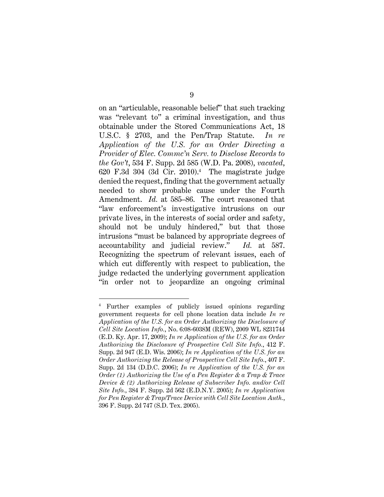on an "articulable, reasonable belief" that such tracking was "relevant to" a criminal investigation, and thus obtainable under the Stored Communications Act, 18 U.S.C. § 2703, and the Pen/Trap Statute. *In re Application of the U.S. for an Order Directing a Provider of Elec. Commc'n Serv. to Disclose Records to the Gov't*, 534 F. Supp. 2d 585 (W.D. Pa. 2008), *vacated*, 620 F.3d 304 (3d Cir. 2010).<sup>4</sup> The magistrate judge denied the request, finding that the government actually needed to show probable cause under the Fourth Amendment. *Id.* at 585–86. The court reasoned that "law enforcement's investigative intrusions on our private lives, in the interests of social order and safety, should not be unduly hindered," but that those intrusions "must be balanced by appropriate degrees of accountability and judicial review." *Id.* at 587. Recognizing the spectrum of relevant issues, each of which cut differently with respect to publication, the judge redacted the underlying government application "in order not to jeopardize an ongoing criminal

l

<sup>4</sup> Further examples of publicly issued opinions regarding government requests for cell phone location data include *In re Application of the U.S. for an Order Authorizing the Disclosure of Cell Site Location Info.*, No. 6:08-6038M (REW), 2009 WL 8231744 (E.D. Ky. Apr. 17, 2009); *In re Application of the U.S. for an Order Authorizing the Disclosure of Prospective Cell Site Info.*, 412 F. Supp. 2d 947 (E.D. Wis. 2006); *In re Application of the U.S. for an Order Authorizing the Release of Prospective Cell Site Info.*, 407 F. Supp. 2d 134 (D.D.C. 2006); *In re Application of the U.S. for an Order (1) Authorizing the Use of a Pen Register & a Trap & Trace Device & (2) Authorizing Release of Subscriber Info. and/or Cell Site Info.*, 384 F. Supp. 2d 562 (E.D.N.Y. 2005); *In re Application for Pen Register & Trap/Trace Device with Cell Site Location Auth.*, 396 F. Supp. 2d 747 (S.D. Tex. 2005).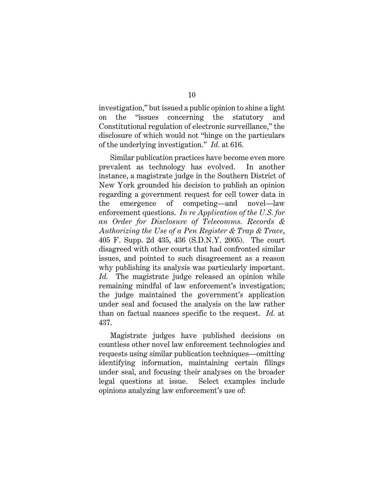investigation," but issued a public opinion to shine a light on the "issues concerning the statutory and Constitutional regulation of electronic surveillance," the disclosure of which would not "hinge on the particulars of the underlying investigation." *Id.* at 616.

Similar publication practices have become even more prevalent as technology has evolved. In another instance, a magistrate judge in the Southern District of New York grounded his decision to publish an opinion regarding a government request for cell tower data in the emergence of competing—and novel—law enforcement questions. *In re Application of the U.S. for an Order for Disclosure of Telecomms. Records & Authorizing the Use of a Pen Register & Trap & Trace*, 405 F. Supp. 2d 435, 436 (S.D.N.Y. 2005). The court disagreed with other courts that had confronted similar issues, and pointed to such disagreement as a reason why publishing its analysis was particularly important. *Id.* The magistrate judge released an opinion while remaining mindful of law enforcement's investigation; the judge maintained the government's application under seal and focused the analysis on the law rather than on factual nuances specific to the request. *Id.* at 437.

Magistrate judges have published decisions on countless other novel law enforcement technologies and requests using similar publication techniques—omitting identifying information, maintaining certain filings under seal, and focusing their analyses on the broader legal questions at issue. Select examples include opinions analyzing law enforcement's use of: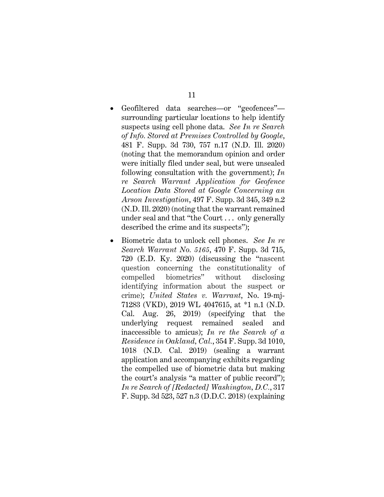- Geofiltered data searches—or "geofences" surrounding particular locations to help identify suspects using cell phone data. *See In re Search of Info. Stored at Premises Controlled by Google*, 481 F. Supp. 3d 730, 757 n.17 (N.D. Ill. 2020) (noting that the memorandum opinion and order were initially filed under seal, but were unsealed following consultation with the government); *In re Search Warrant Application for Geofence Location Data Stored at Google Concerning an Arson Investigation*, 497 F. Supp. 3d 345, 349 n.2 (N.D. Ill. 2020) (noting that the warrant remained under seal and that "the Court . . . only generally described the crime and its suspects");
- Biometric data to unlock cell phones. *See In re Search Warrant No. 5165*, 470 F. Supp. 3d 715, 720 (E.D. Ky. 2020) (discussing the "nascent question concerning the constitutionality of compelled biometrics" without disclosing identifying information about the suspect or crime); *United States v. Warrant*, No. 19-mj-71283 (VKD), 2019 WL 4047615, at \*1 n.1 (N.D. Cal. Aug. 26, 2019) (specifying that the underlying request remained sealed and inaccessible to amicus); *In re the Search of a Residence in Oakland, Cal.*, 354 F. Supp. 3d 1010, 1018 (N.D. Cal. 2019) (sealing a warrant application and accompanying exhibits regarding the compelled use of biometric data but making the court's analysis "a matter of public record"); *In re Search of [Redacted] Washington, D.C.*, 317 F. Supp. 3d 523, 527 n.3 (D.D.C. 2018) (explaining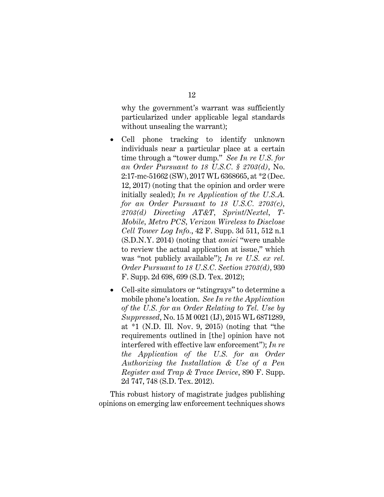why the government's warrant was sufficiently particularized under applicable legal standards without unsealing the warrant);

- Cell phone tracking to identify unknown individuals near a particular place at a certain time through a "tower dump." *See In re U.S. for an Order Pursuant to 18 U.S.C. § 2703(d)*, No. 2:17-mc-51662 (SW), 2017 WL 6368665, at \*2 (Dec. 12, 2017) (noting that the opinion and order were initially sealed); *In re Application of the U.S.A. for an Order Pursuant to 18 U.S.C. 2703(c), 2703(d) Directing AT&T, Sprint/Nextel, T-Mobile, Metro PCS, Verizon Wireless to Disclose Cell Tower Log Info.*, 42 F. Supp. 3d 511, 512 n.1 (S.D.N.Y. 2014) (noting that *amici* "were unable to review the actual application at issue," which was "not publicly available"); *In re U.S. ex rel. Order Pursuant to 18 U.S.C. Section 2703(d)*, 930 F. Supp. 2d 698, 699 (S.D. Tex. 2012);
- Cell-site simulators or "stingrays" to determine a mobile phone's location. *See In re the Application of the U.S. for an Order Relating to Tel. Use by Suppressed*, No. 15 M 0021 (IJ), 2015 WL 6871289, at \*1 (N.D. Ill. Nov. 9, 2015) (noting that "the requirements outlined in [the] opinion have not interfered with effective law enforcement"); *In re the Application of the U.S. for an Order Authorizing the Installation & Use of a Pen Register and Trap & Trace Device*, 890 F. Supp. 2d 747, 748 (S.D. Tex. 2012).

This robust history of magistrate judges publishing opinions on emerging law enforcement techniques shows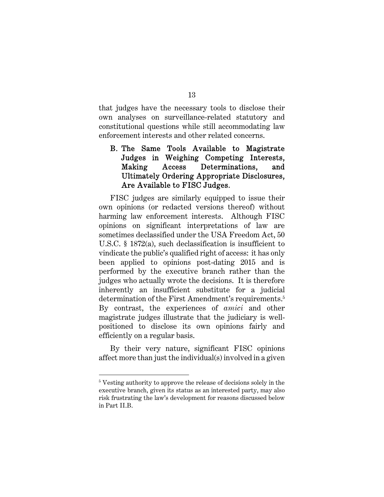that judges have the necessary tools to disclose their own analyses on surveillance-related statutory and constitutional questions while still accommodating law enforcement interests and other related concerns.

## B. The Same Tools Available to Magistrate Judges in Weighing Competing Interests, Making Access Determinations, and Ultimately Ordering Appropriate Disclosures, Are Available to FISC Judges.

FISC judges are similarly equipped to issue their own opinions (or redacted versions thereof) without harming law enforcement interests. Although FISC opinions on significant interpretations of law are sometimes declassified under the USA Freedom Act, 50 U.S.C. § 1872(a), such declassification is insufficient to vindicate the public's qualified right of access: it has only been applied to opinions post-dating 2015 and is performed by the executive branch rather than the judges who actually wrote the decisions. It is therefore inherently an insufficient substitute for a judicial determination of the First Amendment's requirements.<sup>5</sup> By contrast, the experiences of *amici* and other magistrate judges illustrate that the judiciary is wellpositioned to disclose its own opinions fairly and efficiently on a regular basis.

By their very nature, significant FISC opinions affect more than just the individual(s) involved in a given

 $\overline{a}$ 5 Vesting authority to approve the release of decisions solely in the executive branch, given its status as an interested party, may also risk frustrating the law's development for reasons discussed below in Part II.B.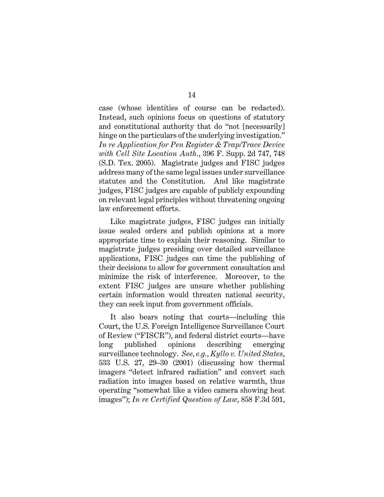case (whose identities of course can be redacted). Instead, such opinions focus on questions of statutory and constitutional authority that do "not [necessarily] hinge on the particulars of the underlying investigation." *In re Application for Pen Register & Trap/Trace Device with Cell Site Location Auth.*, 396 F. Supp. 2d 747, 748 (S.D. Tex. 2005). Magistrate judges and FISC judges address many of the same legal issues under surveillance statutes and the Constitution. And like magistrate judges, FISC judges are capable of publicly expounding on relevant legal principles without threatening ongoing law enforcement efforts.

Like magistrate judges, FISC judges can initially issue sealed orders and publish opinions at a more appropriate time to explain their reasoning. Similar to magistrate judges presiding over detailed surveillance applications, FISC judges can time the publishing of their decisions to allow for government consultation and minimize the risk of interference. Moreover, to the extent FISC judges are unsure whether publishing certain information would threaten national security, they can seek input from government officials.

It also bears noting that courts—including this Court, the U.S. Foreign Intelligence Surveillance Court of Review ("FISCR"), and federal district courts—have long published opinions describing emerging surveillance technology. *See, e.g.*, *Kyllo v. United States*, 533 U.S. 27, 29–30 (2001) (discussing how thermal imagers "detect infrared radiation" and convert such radiation into images based on relative warmth, thus operating "somewhat like a video camera showing heat images"); *In re Certified Question of Law*, 858 F.3d 591,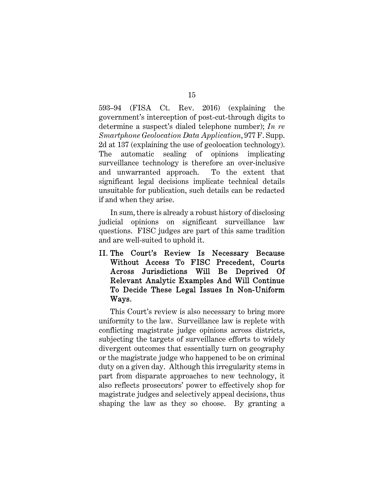593–94 (FISA Ct. Rev. 2016) (explaining the government's interception of post-cut-through digits to determine a suspect's dialed telephone number); *In re Smartphone Geolocation Data Application*, 977 F. Supp. 2d at 137 (explaining the use of geolocation technology). The automatic sealing of opinions implicating surveillance technology is therefore an over-inclusive and unwarranted approach. To the extent that significant legal decisions implicate technical details unsuitable for publication, such details can be redacted if and when they arise.

In sum, there is already a robust history of disclosing judicial opinions on significant surveillance law questions. FISC judges are part of this same tradition and are well-suited to uphold it.

II. The Court's Review Is Necessary Because Without Access To FISC Precedent, Courts Across Jurisdictions Will Be Deprived Of Relevant Analytic Examples And Will Continue To Decide These Legal Issues In Non-Uniform Ways.

This Court's review is also necessary to bring more uniformity to the law. Surveillance law is replete with conflicting magistrate judge opinions across districts, subjecting the targets of surveillance efforts to widely divergent outcomes that essentially turn on geography or the magistrate judge who happened to be on criminal duty on a given day. Although this irregularity stems in part from disparate approaches to new technology, it also reflects prosecutors' power to effectively shop for magistrate judges and selectively appeal decisions, thus shaping the law as they so choose. By granting a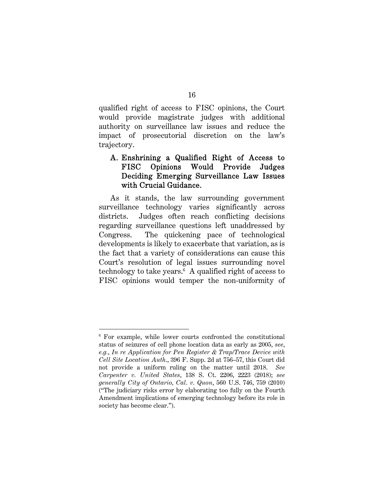qualified right of access to FISC opinions, the Court would provide magistrate judges with additional authority on surveillance law issues and reduce the impact of prosecutorial discretion on the law's trajectory.

## A. Enshrining a Qualified Right of Access to FISC Opinions Would Provide Judges Deciding Emerging Surveillance Law Issues with Crucial Guidance.

As it stands, the law surrounding government surveillance technology varies significantly across districts. Judges often reach conflicting decisions regarding surveillance questions left unaddressed by Congress. The quickening pace of technological developments is likely to exacerbate that variation, as is the fact that a variety of considerations can cause this Court's resolution of legal issues surrounding novel technology to take years.<sup>6</sup> A qualified right of access to FISC opinions would temper the non-uniformity of

l 6 For example, while lower courts confronted the constitutional status of seizures of cell phone location data as early as 2005, *see*, *e.g.*, *In re Application for Pen Register & Trap/Trace Device with Cell Site Location Auth*., 396 F. Supp. 2d at 756–57, this Court did not provide a uniform ruling on the matter until 2018. *See Carpenter v. United States*, 138 S. Ct. 2206, 2223 (2018); *see generally City of Ontario, Cal. v. Quon*, 560 U.S. 746, 759 (2010) ("The judiciary risks error by elaborating too fully on the Fourth Amendment implications of emerging technology before its role in society has become clear.").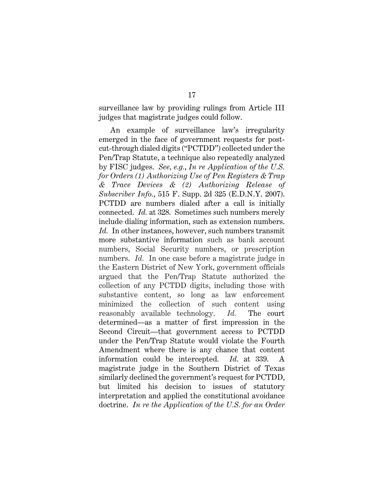surveillance law by providing rulings from Article III judges that magistrate judges could follow.

An example of surveillance law's irregularity emerged in the face of government requests for postcut-through dialed digits ("PCTDD") collected under the Pen/Trap Statute, a technique also repeatedly analyzed by FISC judges. *See, e.g.*, *In re Application of the U.S. for Orders (1) Authorizing Use of Pen Registers & Trap & Trace Devices & (2) Authorizing Release of Subscriber Info.*, 515 F. Supp. 2d 325 (E.D.N.Y. 2007). PCTDD are numbers dialed after a call is initially connected. *Id.* at 328. Sometimes such numbers merely include dialing information, such as extension numbers. *Id.* In other instances, however, such numbers transmit more substantive information such as bank account numbers, Social Security numbers, or prescription numbers. *Id.* In one case before a magistrate judge in the Eastern District of New York, government officials argued that the Pen/Trap Statute authorized the collection of any PCTDD digits, including those with substantive content, so long as law enforcement minimized the collection of such content using reasonably available technology. *Id.* The court determined—as a matter of first impression in the Second Circuit—that government access to PCTDD under the Pen/Trap Statute would violate the Fourth Amendment where there is any chance that content information could be intercepted*. Id*. at 339. A magistrate judge in the Southern District of Texas similarly declined the government's request for PCTDD, but limited his decision to issues of statutory interpretation and applied the constitutional avoidance doctrine. *In re the Application of the U.S. for an Order*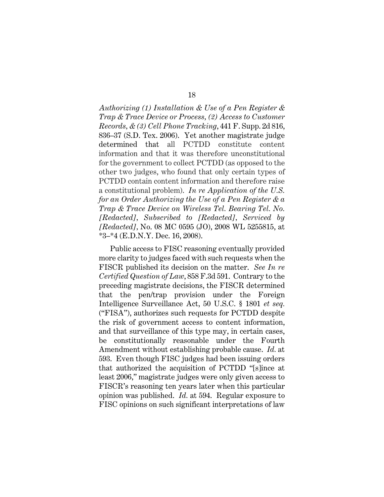*Authorizing (1) Installation & Use of a Pen Register & Trap & Trace Device or Process, (2) Access to Customer Records, & (3) Cell Phone Tracking*, 441 F. Supp. 2d 816, 836–37 (S.D. Tex. 2006). Yet another magistrate judge determined that all PCTDD constitute content information and that it was therefore unconstitutional for the government to collect PCTDD (as opposed to the other two judges, who found that only certain types of PCTDD contain content information and therefore raise a constitutional problem). *In re Application of the U.S. for an Order Authorizing the Use of a Pen Register & a Trap & Trace Device on Wireless Tel. Bearing Tel. No. [Redacted], Subscribed to [Redacted], Serviced by [Redacted],* No. 08 MC 0595 (JO), 2008 WL 5255815, at  $*3-*4$  (E.D.N.Y. Dec. 16, 2008).

Public access to FISC reasoning eventually provided more clarity to judges faced with such requests when the FISCR published its decision on the matter. *See In re Certified Question of Law*, 858 F.3d 591. Contrary to the preceding magistrate decisions, the FISCR determined that the pen/trap provision under the Foreign Intelligence Surveillance Act, 50 U.S.C. § 1801 *et seq.* ("FISA"), authorizes such requests for PCTDD despite the risk of government access to content information, and that surveillance of this type may, in certain cases, be constitutionally reasonable under the Fourth Amendment without establishing probable cause. *Id.* at 593. Even though FISC judges had been issuing orders that authorized the acquisition of PCTDD "[s]ince at least 2006," magistrate judges were only given access to FISCR's reasoning ten years later when this particular opinion was published. *Id.* at 594. Regular exposure to FISC opinions on such significant interpretations of law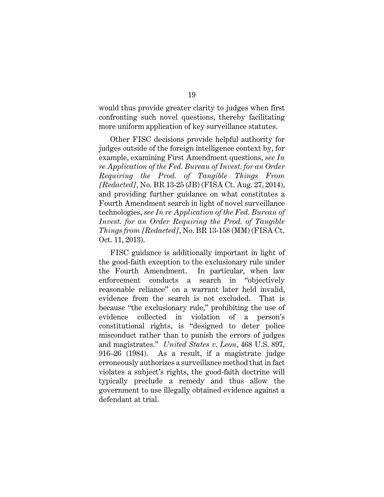would thus provide greater clarity to judges when first confronting such novel questions, thereby facilitating more uniform application of key surveillance statutes.

Other FISC decisions provide helpful authority for judges outside of the foreign intelligence context by, for example, examining First Amendment questions, *see In re Application of the Fed. Bureau of Invest. for an Order Requiring the Prod. of Tangible Things From [Redacted]*, No. BR 13-25 (JB) (FISA Ct. Aug. 27, 2014), and providing further guidance on what constitutes a Fourth Amendment search in light of novel surveillance technologies, *see In re Application of the Fed. Bureau of Invest. for an Order Requiring the Prod. of Tangible Things from [Redacted]*, No. BR 13-158 (MM) (FISA Ct. Oct. 11, 2013).

FISC guidance is additionally important in light of the good-faith exception to the exclusionary rule under the Fourth Amendment. In particular, when law enforcement conducts a search in "objectively reasonable reliance" on a warrant later held invalid, evidence from the search is not excluded. That is because "the exclusionary rule," prohibiting the use of evidence collected in violation of a person's constitutional rights, is "designed to deter police misconduct rather than to punish the errors of judges and magistrates." *United States v. Leon*, 468 U.S. 897, 916–26 (1984). As a result, if a magistrate judge erroneously authorizes a surveillance method that in fact violates a subject's rights, the good-faith doctrine will typically preclude a remedy and thus allow the government to use illegally obtained evidence against a defendant at trial.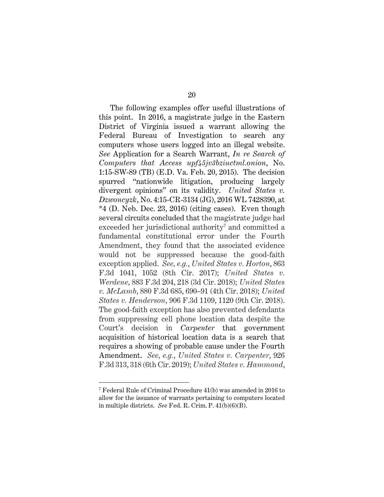The following examples offer useful illustrations of this point. In 2016, a magistrate judge in the Eastern District of Virginia issued a warrant allowing the Federal Bureau of Investigation to search any computers whose users logged into an illegal website. *See* Application for a Search Warrant, *In re Search of Computers that Access upf45jv3bziuctml.onion*, No. 1:15-SW-89 (TB) (E.D. Va. Feb. 20, 2015). The decision spurred "nationwide litigation, producing largely divergent opinions" on its validity. *United States v. Dzwoncyzk*, No. 4:15-CR-3134 (JG), 2016 WL 7428390, at \*4 (D. Neb. Dec. 23, 2016) (citing cases). Even though several circuits concluded that the magistrate judge had exceeded her jurisdictional authority $\bar{\ }$  and committed a fundamental constitutional error under the Fourth Amendment, they found that the associated evidence would not be suppressed because the good-faith exception applied. *See, e.g.*, *United States v. Horton*, 863 F.3d 1041, 1052 (8th Cir. 2017); *United States v. Werdene*, 883 F.3d 204, 218 (3d Cir. 2018); *United States v. McLamb*, 880 F.3d 685, 690–91 (4th Cir. 2018); *United States v. Henderson*, 906 F.3d 1109, 1120 (9th Cir. 2018). The good-faith exception has also prevented defendants from suppressing cell phone location data despite the Court's decision in *Carpenter* that government acquisition of historical location data is a search that requires a showing of probable cause under the Fourth Amendment. *See, e.g.*, *United States v. Carpenter*, 926 F.3d 313, 318 (6th Cir. 2019); *United States v. Hammond*,

l

<sup>7</sup> Federal Rule of Criminal Procedure 41(b) was amended in 2016 to allow for the issuance of warrants pertaining to computers located in multiple districts. *See* Fed. R. Crim. P. 41(b)(6)(B).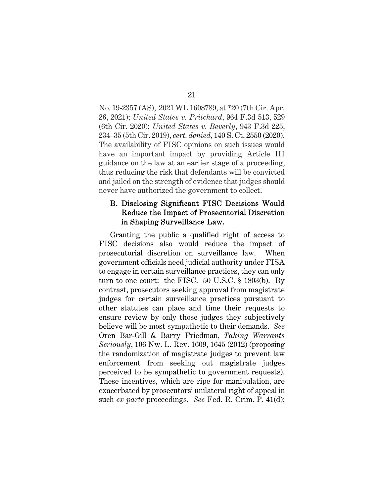No. 19-2357 (AS), 2021 WL 1608789, at \*20 (7th Cir. Apr. 26, 2021); *United States v. Pritchard*, 964 F.3d 513, 529 (6th Cir. 2020); *United States v. Beverly*, 943 F.3d 225, 234–35 (5th Cir. 2019), *cert. denied*, 140 S. Ct. 2550 (2020). The availability of FISC opinions on such issues would have an important impact by providing Article III guidance on the law at an earlier stage of a proceeding, thus reducing the risk that defendants will be convicted and jailed on the strength of evidence that judges should never have authorized the government to collect.

## B. Disclosing Significant FISC Decisions Would Reduce the Impact of Prosecutorial Discretion in Shaping Surveillance Law.

Granting the public a qualified right of access to FISC decisions also would reduce the impact of prosecutorial discretion on surveillance law. When government officials need judicial authority under FISA to engage in certain surveillance practices, they can only turn to one court: the FISC. 50 U.S.C. § 1803(b). By contrast, prosecutors seeking approval from magistrate judges for certain surveillance practices pursuant to other statutes can place and time their requests to ensure review by only those judges they subjectively believe will be most sympathetic to their demands. *See*  Oren Bar-Gill & Barry Friedman, *Taking Warrants Seriously*, 106 Nw. L. Rev. 1609, 1645 (2012) (proposing the randomization of magistrate judges to prevent law enforcement from seeking out magistrate judges perceived to be sympathetic to government requests). These incentives, which are ripe for manipulation, are exacerbated by prosecutors' unilateral right of appeal in such *ex parte* proceedings. *See* Fed. R. Crim. P. 41(d);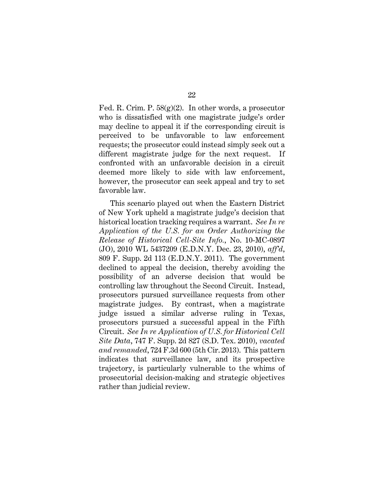Fed. R. Crim. P.  $58(g)(2)$ . In other words, a prosecutor who is dissatisfied with one magistrate judge's order may decline to appeal it if the corresponding circuit is perceived to be unfavorable to law enforcement requests; the prosecutor could instead simply seek out a different magistrate judge for the next request. If confronted with an unfavorable decision in a circuit deemed more likely to side with law enforcement, however, the prosecutor can seek appeal and try to set favorable law.

This scenario played out when the Eastern District of New York upheld a magistrate judge's decision that historical location tracking requires a warrant. *See In re Application of the U.S. for an Order Authorizing the Release of Historical Cell-Site Info.*, No. 10-MC-0897 (JO), 2010 WL 5437209 (E.D.N.Y. Dec. 23, 2010), *aff'd*, 809 F. Supp. 2d 113 (E.D.N.Y. 2011). The government declined to appeal the decision, thereby avoiding the possibility of an adverse decision that would be controlling law throughout the Second Circuit. Instead, prosecutors pursued surveillance requests from other magistrate judges. By contrast, when a magistrate judge issued a similar adverse ruling in Texas, prosecutors pursued a successful appeal in the Fifth Circuit. *See In re Application of U.S. for Historical Cell Site Data*, 747 F. Supp. 2d 827 (S.D. Tex. 2010), *vacated and remanded*, 724 F.3d 600 (5th Cir. 2013). This pattern indicates that surveillance law, and its prospective trajectory, is particularly vulnerable to the whims of prosecutorial decision-making and strategic objectives rather than judicial review.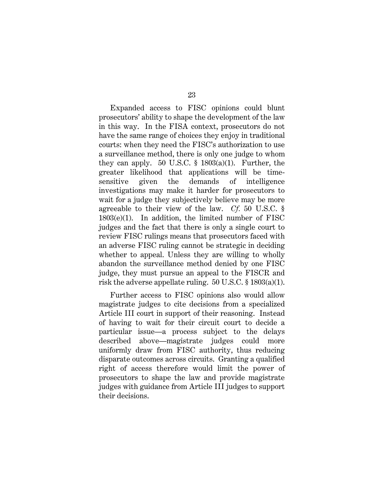Expanded access to FISC opinions could blunt prosecutors' ability to shape the development of the law in this way. In the FISA context, prosecutors do not have the same range of choices they enjoy in traditional courts: when they need the FISC's authorization to use a surveillance method, there is only one judge to whom they can apply. 50 U.S.C.  $\S$  1803(a)(1). Further, the greater likelihood that applications will be timesensitive given the demands of intelligence investigations may make it harder for prosecutors to wait for a judge they subjectively believe may be more agreeable to their view of the law. *Cf.* 50 U.S.C. § 1803(e)(1). In addition, the limited number of FISC judges and the fact that there is only a single court to review FISC rulings means that prosecutors faced with an adverse FISC ruling cannot be strategic in deciding whether to appeal. Unless they are willing to wholly abandon the surveillance method denied by one FISC judge, they must pursue an appeal to the FISCR and risk the adverse appellate ruling. 50 U.S.C. § 1803(a)(1).

Further access to FISC opinions also would allow magistrate judges to cite decisions from a specialized Article III court in support of their reasoning. Instead of having to wait for their circuit court to decide a particular issue—a process subject to the delays described above—magistrate judges could more uniformly draw from FISC authority, thus reducing disparate outcomes across circuits. Granting a qualified right of access therefore would limit the power of prosecutors to shape the law and provide magistrate judges with guidance from Article III judges to support their decisions.